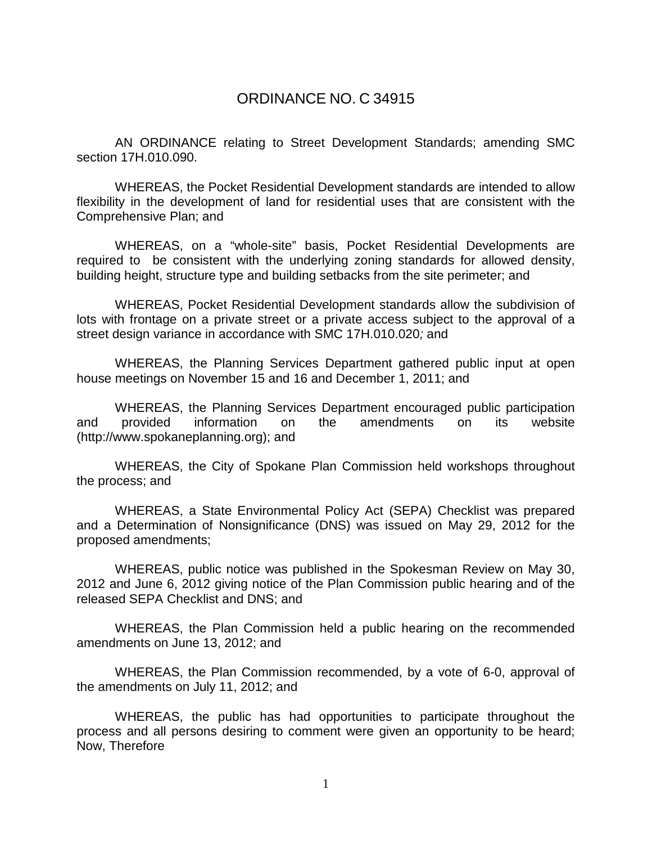## ORDINANCE NO. C 34915

AN ORDINANCE relating to Street Development Standards; amending SMC section 17H.010.090.

WHEREAS, the Pocket Residential Development standards are intended to allow flexibility in the development of land for residential uses that are consistent with the Comprehensive Plan; and

WHEREAS, on a "whole-site" basis, Pocket Residential Developments are required to be consistent with the underlying zoning standards for allowed density, building height, structure type and building setbacks from the site perimeter; and

WHEREAS, Pocket Residential Development standards allow the subdivision of lots with frontage on a private street or a private access subject to the approval of a street design variance in accordance with SMC 17H.010.020*;* and

WHEREAS, the Planning Services Department gathered public input at open house meetings on November 15 and 16 and December 1, 2011; and

WHEREAS, the Planning Services Department encouraged public participation and provided information on the amendments on its website (http://www.spokaneplanning.org); and

WHEREAS, the City of Spokane Plan Commission held workshops throughout the process; and

WHEREAS, a State Environmental Policy Act (SEPA) Checklist was prepared and a Determination of Nonsignificance (DNS) was issued on May 29, 2012 for the proposed amendments;

WHEREAS, public notice was published in the Spokesman Review on May 30, 2012 and June 6, 2012 giving notice of the Plan Commission public hearing and of the released SEPA Checklist and DNS; and

WHEREAS, the Plan Commission held a public hearing on the recommended amendments on June 13, 2012; and

WHEREAS, the Plan Commission recommended, by a vote of 6-0, approval of the amendments on July 11, 2012; and

WHEREAS, the public has had opportunities to participate throughout the process and all persons desiring to comment were given an opportunity to be heard; Now, Therefore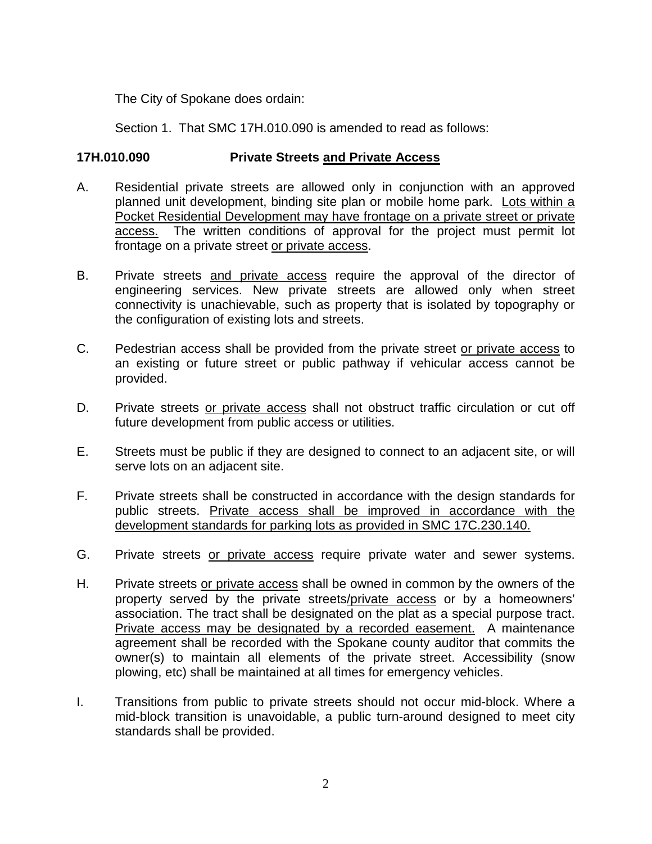The City of Spokane does ordain:

Section 1. That SMC 17H.010.090 is amended to read as follows:

## **17H.010.090 Private Streets and Private Access**

- A. Residential private streets are allowed only in conjunction with an approved planned unit development, binding site plan or mobile home park. Lots within a Pocket Residential Development may have frontage on a private street or private access. The written conditions of approval for the project must permit lot frontage on a private street or private access.
- B. Private streets and private access require the approval of the director of engineering services. New private streets are allowed only when street connectivity is unachievable, such as property that is isolated by topography or the configuration of existing lots and streets.
- C. Pedestrian access shall be provided from the private street or private access to an existing or future street or public pathway if vehicular access cannot be provided.
- D. Private streets or private access shall not obstruct traffic circulation or cut off future development from public access or utilities.
- E. Streets must be public if they are designed to connect to an adjacent site, or will serve lots on an adjacent site.
- F. Private streets shall be constructed in accordance with the design standards for public streets. Private access shall be improved in accordance with the development standards for parking lots as provided in SMC 17C.230.140.
- G. Private streets or private access require private water and sewer systems.
- H. Private streets or private access shall be owned in common by the owners of the property served by the private streets/private access or by a homeowners' association. The tract shall be designated on the plat as a special purpose tract. Private access may be designated by a recorded easement. A maintenance agreement shall be recorded with the Spokane county auditor that commits the owner(s) to maintain all elements of the private street. Accessibility (snow plowing, etc) shall be maintained at all times for emergency vehicles.
- I. Transitions from public to private streets should not occur mid-block. Where a mid-block transition is unavoidable, a public turn-around designed to meet city standards shall be provided.